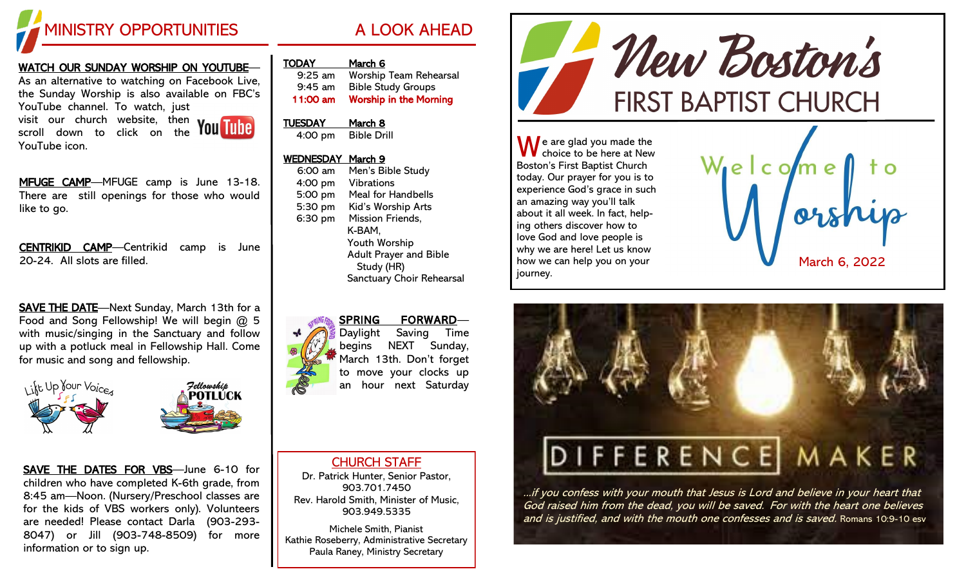

#### WATCH OUR SUNDAY WORSHIP ON YOUTUBE—

As an alternative to watching on Facebook Live, the Sunday Worship is also available on FBC's YouTube channel. To watch, just visit our church website, then

scroll down to click on the YouTube icon.

MFUGE CAMP—MFUGE camp is June 13-18. There are still openings for those who would like to go.

CENTRIKID CAMP—Centrikid camp is June 20-24. All slots are filled.

SAVE THE DATE-Next Sunday, March 13th for a Food and Song Fellowship! We will begin @ 5 with music/singing in the Sanctuary and follow up with a potluck meal in Fellowship Hall. Come for music and song and fellowship.



SAVE THE DATES FOR VBS—June 6-10 for children who have completed K-6th grade, from 8:45 am—Noon. (Nursery/Preschool classes are for the kids of VBS workers only). Volunteers are needed! Please contact Darla (903-293- 8047) or Jill (903-748-8509) for more information or to sign up.

|  | /rv /<br>- | -<br>- | ∸ |
|--|------------|--------|---|
|  |            |        |   |
|  |            |        |   |

| $9:25$ am | <b>Worship Team Rehearsal</b> |
|-----------|-------------------------------|
| $9:45$ am | <b>Bible Study Groups</b>     |
| 11:00 am  | <b>Worship in the Morning</b> |

# TUESDAY March 8

4:00 pm Bible Drill

#### WEDNESDAY March 9

| 6:00 am | Men's Bible Study                           |
|---------|---------------------------------------------|
| 4:00 pm | <b>Vibrations</b>                           |
| 5:00 pm | <b>Meal for Handbells</b>                   |
| 5:30 pm | Kid's Worship Arts                          |
| 6:30 pm | Mission Friends,                            |
|         | K-BAM,                                      |
|         | Youth Worship                               |
|         | <b>Adult Prayer and Bible</b><br>Study (HR) |
|         | Sanctuary Choir Rehearsal                   |

#### SPRING FORWARD— Daylight Saving Time



begins NEXT Sunday, March 13th. Don't forget to move your clocks up an hour next Saturday

## CHURCH STAFF

Dr. Patrick Hunter, Senior Pastor, 903.701.7450 Rev. Harold Smith, Minister of Music, 903.949.5335

Michele Smith, Pianist Kathie Roseberry, Administrative Secretary Paula Raney, Ministry Secretary



 $\bigwedge$  e are glad you made the choice to be here at New Boston's First Baptist Church today. Our prayer for you is to experience God's grace in such an amazing way you'll talk about it all week. In fact, helping others discover how to love God and love people is why we are here! Let us know how we can help you on your journey.





...if you confess with your mouth that Jesus is Lord and believe in your heart that God raised him from the dead, you will be saved. For with the heart one believes and is justified, and with the mouth one confesses and is saved. Romans 10:9-10 esv